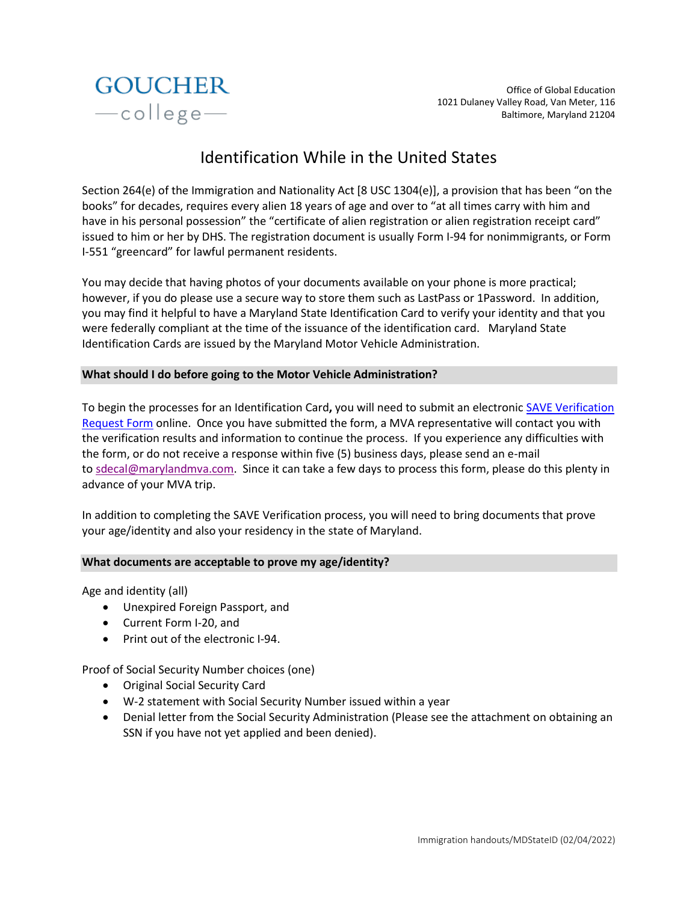

# Identification While in the United States

Section 264(e) of the Immigration and Nationality Act [8 USC 1304(e)], a provision that has been "on the books" for decades, requires every alien 18 years of age and over to "at all times carry with him and have in his personal possession" the "certificate of alien registration or alien registration receipt card" issued to him or her by DHS. The registration document is usually Form I-94 for nonimmigrants, or Form I-551 "greencard" for lawful permanent residents.

You may decide that having photos of your documents available on your phone is more practical; however, if you do please use a secure way to store them such as LastPass or 1Password. In addition, you may find it helpful to have a Maryland State Identification Card to verify your identity and that you were federally compliant at the time of the issuance of the identification card. Maryland State Identification Cards are issued by the Maryland Motor Vehicle Administration.

## **What should I do before going to the Motor Vehicle Administration?**

To begin the processes for an Identification Card**,** you will need to submit an electroni[c SAVE Verification](https://egov.maryland.gov/Mva/save)  [Request Form](https://egov.maryland.gov/Mva/save) online. Once you have submitted the form, a MVA representative will contact you with the verification results and information to continue the process. If you experience any difficulties with the form, or do not receive a response within five (5) business days, please send an e-mail to [sdecal@marylandmva.com.](mailto:sdecal@marylandmva.com) Since it can take a few days to process this form, please do this plenty in advance of your MVA trip.

In addition to completing the SAVE Verification process, you will need to bring documents that prove your age/identity and also your residency in the state of Maryland.

## **What documents are acceptable to prove my age/identity?**

Age and identity (all)

- Unexpired Foreign Passport, and
- Current Form I-20, and
- Print out of the electronic I-94.

Proof of Social Security Number choices (one)

- Original Social Security Card
- W-2 statement with Social Security Number issued within a year
- Denial letter from the Social Security Administration (Please see the attachment on obtaining an SSN if you have not yet applied and been denied).